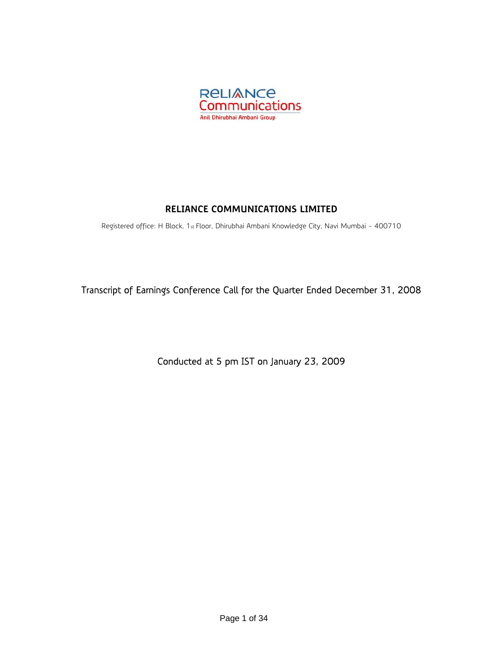

# **RELIANCE COMMUNICATIONS LIMITED**

Registered office: H Block, 1st Floor, Dhirubhai Ambani Knowledge City, Navi Mumbai - 400710

Transcript of Earnings Conference Call for the Quarter Ended December 31, 2008

Conducted at 5 pm IST on January 23, 2009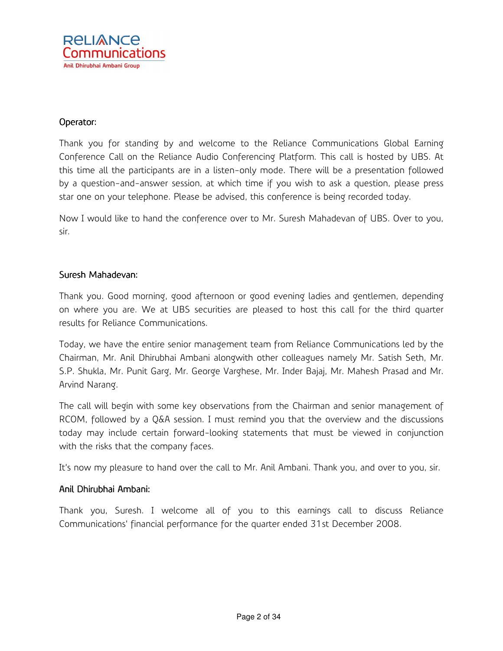

## Operator:

Thank you for standing by and welcome to the Reliance Communications Global Earning Conference Call on the Reliance Audio Conferencing Platform. This call is hosted by UBS. At this time all the participants are in a listen-only mode. There will be a presentation followed by a question-and-answer session, at which time if you wish to ask a question, please press star one on your telephone. Please be advised, this conference is being recorded today.

Now I would like to hand the conference over to Mr. Suresh Mahadevan of UBS. Over to you, sir.

## Suresh Mahadevan:

Thank you. Good morning, good afternoon or good evening ladies and gentlemen, depending on where you are. We at UBS securities are pleased to host this call for the third quarter results for Reliance Communications.

Today, we have the entire senior management team from Reliance Communications led by the Chairman, Mr. Anil Dhirubhai Ambani alongwith other colleagues namely Mr. Satish Seth, Mr. S.P. Shukla, Mr. Punit Garg, Mr. George Varghese, Mr. Inder Bajaj, Mr. Mahesh Prasad and Mr. Arvind Narang.

The call will begin with some key observations from the Chairman and senior management of RCOM, followed by a Q&A session. I must remind you that the overview and the discussions today may include certain forward-looking statements that must be viewed in conjunction with the risks that the company faces.

It's now my pleasure to hand over the call to Mr. Anil Ambani. Thank you, and over to you, sir.

# Anil Dhirubhai Ambani: Ambani:

Thank you, Suresh. I welcome all of you to this earnings call to discuss Reliance Communications' financial performance for the quarter ended 31st December 2008.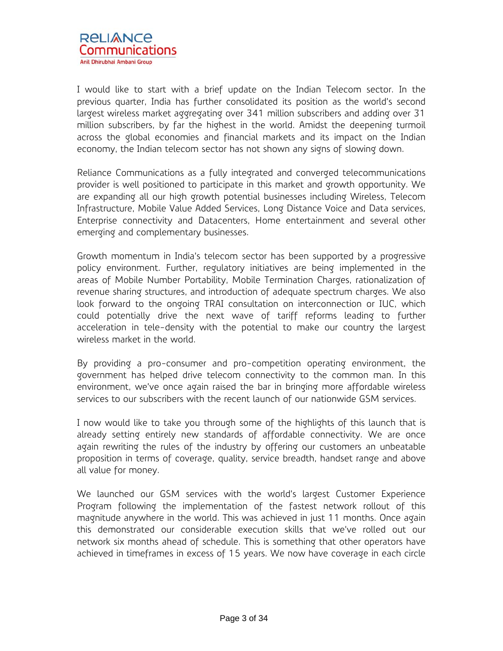

I would like to start with a brief update on the Indian Telecom sector. In the previous quarter, India has further consolidated its position as the world's second largest wireless market aggregating over 341 million subscribers and adding over 31 million subscribers, by far the highest in the world. Amidst the deepening turmoil across the global economies and financial markets and its impact on the Indian economy, the Indian telecom sector has not shown any signs of slowing down.

Reliance Communications as a fully integrated and converged telecommunications provider is well positioned to participate in this market and growth opportunity. We are expanding all our high growth potential businesses including Wireless, Telecom Infrastructure, Mobile Value Added Services, Long Distance Voice and Data services, Enterprise connectivity and Datacenters, Home entertainment and several other emerging and complementary businesses.

Growth momentum in India's telecom sector has been supported by a progressive policy environment. Further, regulatory initiatives are being implemented in the areas of Mobile Number Portability, Mobile Termination Charges, rationalization of revenue sharing structures, and introduction of adequate spectrum charges. We also look forward to the ongoing TRAI consultation on interconnection or IUC, which could potentially drive the next wave of tariff reforms leading to further acceleration in tele-density with the potential to make our country the largest wireless market in the world.

By providing a pro-consumer and pro-competition operating environment, the government has helped drive telecom connectivity to the common man. In this environment, we've once again raised the bar in bringing more affordable wireless services to our subscribers with the recent launch of our nationwide GSM services.

I now would like to take you through some of the highlights of this launch that is already setting entirely new standards of affordable connectivity. We are once again rewriting the rules of the industry by offering our customers an unbeatable proposition in terms of coverage, quality, service breadth, handset range and above all value for money.

We launched our GSM services with the world's largest Customer Experience Program following the implementation of the fastest network rollout of this magnitude anywhere in the world. This was achieved in just 11 months. Once again this demonstrated our considerable execution skills that we've rolled out our network six months ahead of schedule. This is something that other operators have achieved in timeframes in excess of 15 years. We now have coverage in each circle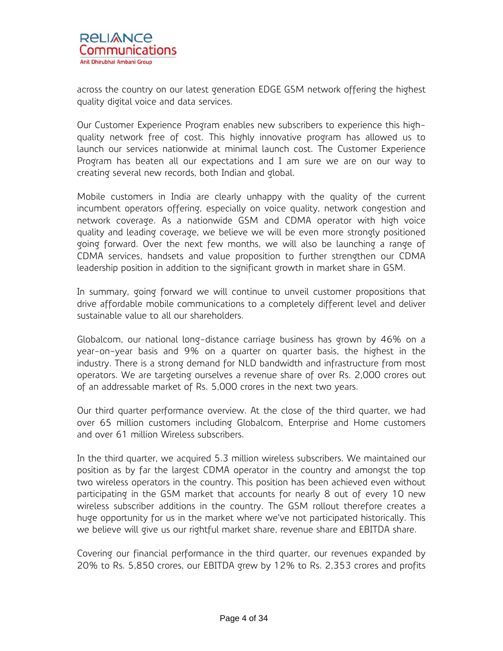across the country on our latest generation EDGE GSM network offering the highest quality digital voice and data services.

Our Customer Experience Program enables new subscribers to experience this highquality network free of cost. This highly innovative program has allowed us to launch our services nationwide at minimal launch cost. The Customer Experience Program has beaten all our expectations and I am sure we are on our way to creating several new records, both Indian and global.

Mobile customers in India are clearly unhappy with the quality of the current incumbent operators offering, especially on voice quality, network congestion and network coverage. As a nationwide GSM and CDMA operator with high voice quality and leading coverage, we believe we will be even more strongly positioned going forward. Over the next few months, we will also be launching a range of CDMA services, handsets and value proposition to further strengthen our CDMA leadership position in addition to the significant growth in market share in GSM.

In summary, going forward we will continue to unveil customer propositions that drive affordable mobile communications to a completely different level and deliver sustainable value to all our shareholders.

Globalcom, our national long-distance carriage business has grown by 46% on a year-on-year basis and 9% on a quarter on quarter basis, the highest in the industry. There is a strong demand for NLD bandwidth and infrastructure from most operators. We are targeting ourselves a revenue share of over Rs. 2,000 crores out of an addressable market of Rs. 5,000 crores in the next two years.

Our third quarter performance overview. At the close of the third quarter, we had over 65 million customers including Globalcom, Enterprise and Home customers and over 61 million Wireless subscribers.

In the third quarter, we acquired 5.3 million wireless subscribers. We maintained our position as by far the largest CDMA operator in the country and amongst the top two wireless operators in the country. This position has been achieved even without participating in the GSM market that accounts for nearly 8 out of every 10 new wireless subscriber additions in the country. The GSM rollout therefore creates a huge opportunity for us in the market where we've not participated historically. This we believe will give us our rightful market share, revenue share and EBITDA share.

Covering our financial performance in the third quarter, our revenues expanded by 20% to Rs. 5,850 crores, our EBITDA grew by 12% to Rs. 2,353 crores and profits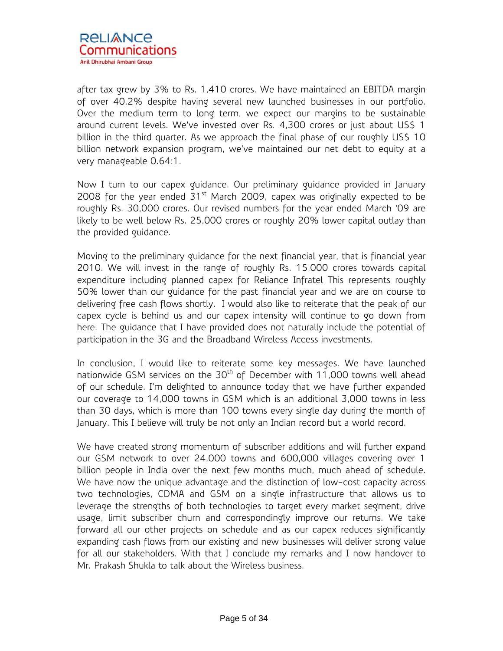

after tax grew by 3% to Rs. 1,410 crores. We have maintained an EBITDA margin of over 40.2% despite having several new launched businesses in our portfolio. Over the medium term to long term, we expect our margins to be sustainable around current levels. We've invested over Rs. 4,300 crores or just about US\$ 1 billion in the third quarter. As we approach the final phase of our roughly US\$ 10 billion network expansion program, we've maintained our net debt to equity at a very manageable 0.64:1.

Now I turn to our capex guidance. Our preliminary guidance provided in January 2008 for the year ended  $31<sup>st</sup>$  March 2009, capex was originally expected to be roughly Rs. 30,000 crores. Our revised numbers for the year ended March '09 are likely to be well below Rs. 25,000 crores or roughly 20% lower capital outlay than the provided guidance.

Moving to the preliminary guidance for the next financial year, that is financial year 2010. We will invest in the range of roughly Rs. 15,000 crores towards capital expenditure including planned capex for Reliance Infratel This represents roughly 50% lower than our guidance for the past financial year and we are on course to delivering free cash flows shortly. I would also like to reiterate that the peak of our capex cycle is behind us and our capex intensity will continue to go down from here. The guidance that I have provided does not naturally include the potential of participation in the 3G and the Broadband Wireless Access investments.

In conclusion, I would like to reiterate some key messages. We have launched nationwide GSM services on the  $30<sup>th</sup>$  of December with 11,000 towns well ahead of our schedule. I'm delighted to announce today that we have further expanded our coverage to 14,000 towns in GSM which is an additional 3,000 towns in less than 30 days, which is more than 100 towns every single day during the month of January. This I believe will truly be not only an Indian record but a world record.

We have created strong momentum of subscriber additions and will further expand our GSM network to over 24,000 towns and 600,000 villages covering over 1 billion people in India over the next few months much, much ahead of schedule. We have now the unique advantage and the distinction of low-cost capacity across two technologies, CDMA and GSM on a single infrastructure that allows us to leverage the strengths of both technologies to target every market segment, drive usage, limit subscriber churn and correspondingly improve our returns. We take forward all our other projects on schedule and as our capex reduces significantly expanding cash flows from our existing and new businesses will deliver strong value for all our stakeholders. With that I conclude my remarks and I now handover to Mr. Prakash Shukla to talk about the Wireless business.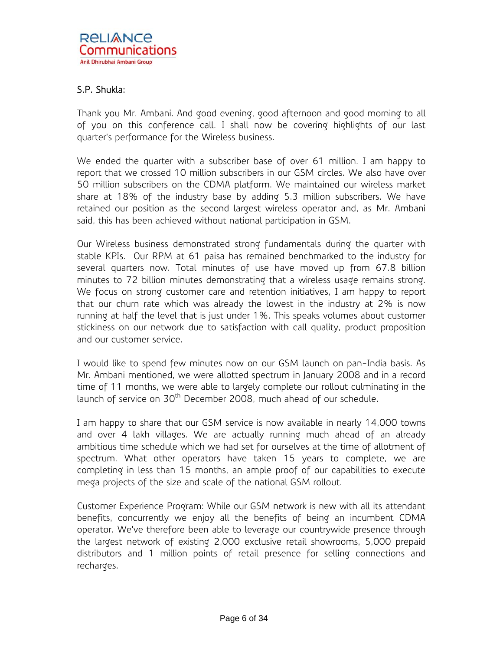# S.P. Shukla:

Thank you Mr. Ambani. And good evening, good afternoon and good morning to all of you on this conference call. I shall now be covering highlights of our last quarter's performance for the Wireless business.

We ended the quarter with a subscriber base of over 61 million. I am happy to report that we crossed 10 million subscribers in our GSM circles. We also have over 50 million subscribers on the CDMA platform. We maintained our wireless market share at 18% of the industry base by adding 5.3 million subscribers. We have retained our position as the second largest wireless operator and, as Mr. Ambani said, this has been achieved without national participation in GSM.

Our Wireless business demonstrated strong fundamentals during the quarter with stable KPIs. Our RPM at 61 paisa has remained benchmarked to the industry for several quarters now. Total minutes of use have moved up from 67.8 billion minutes to 72 billion minutes demonstrating that a wireless usage remains strong. We focus on strong customer care and retention initiatives, I am happy to report that our churn rate which was already the lowest in the industry at 2% is now running at half the level that is just under 1%. This speaks volumes about customer stickiness on our network due to satisfaction with call quality, product proposition and our customer service.

I would like to spend few minutes now on our GSM launch on pan-India basis. As Mr. Ambani mentioned, we were allotted spectrum in January 2008 and in a record time of 11 months, we were able to largely complete our rollout culminating in the launch of service on  $30<sup>th</sup>$  December 2008, much ahead of our schedule.

I am happy to share that our GSM service is now available in nearly 14,000 towns and over 4 lakh villages. We are actually running much ahead of an already ambitious time schedule which we had set for ourselves at the time of allotment of spectrum. What other operators have taken 15 years to complete, we are completing in less than 15 months, an ample proof of our capabilities to execute mega projects of the size and scale of the national GSM rollout.

Customer Experience Program: While our GSM network is new with all its attendant benefits, concurrently we enjoy all the benefits of being an incumbent CDMA operator. We've therefore been able to leverage our countrywide presence through the largest network of existing 2,000 exclusive retail showrooms, 5,000 prepaid distributors and 1 million points of retail presence for selling connections and recharges.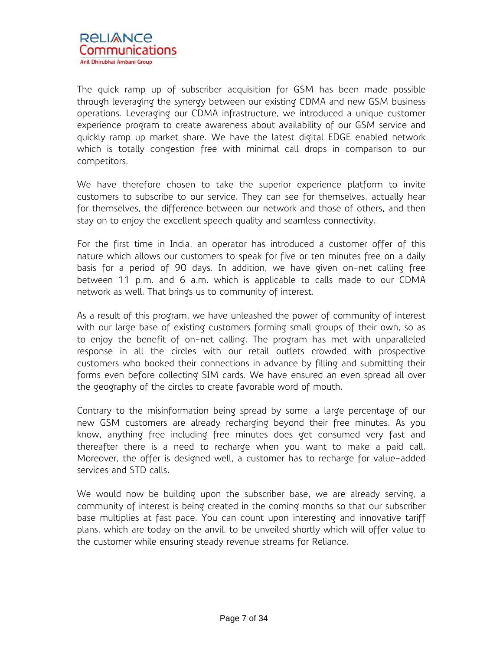

The quick ramp up of subscriber acquisition for GSM has been made possible through leveraging the synergy between our existing CDMA and new GSM business operations. Leveraging our CDMA infrastructure, we introduced a unique customer experience program to create awareness about availability of our GSM service and quickly ramp up market share. We have the latest digital EDGE enabled network which is totally congestion free with minimal call drops in comparison to our competitors.

We have therefore chosen to take the superior experience platform to invite customers to subscribe to our service. They can see for themselves, actually hear for themselves, the difference between our network and those of others, and then stay on to enjoy the excellent speech quality and seamless connectivity.

For the first time in India, an operator has introduced a customer offer of this nature which allows our customers to speak for five or ten minutes free on a daily basis for a period of 90 days. In addition, we have given on-net calling free between 11 p.m. and 6 a.m. which is applicable to calls made to our CDMA network as well. That brings us to community of interest.

As a result of this program, we have unleashed the power of community of interest with our large base of existing customers forming small groups of their own, so as to enjoy the benefit of on-net calling. The program has met with unparalleled response in all the circles with our retail outlets crowded with prospective customers who booked their connections in advance by filling and submitting their forms even before collecting SIM cards. We have ensured an even spread all over the geography of the circles to create favorable word of mouth.

Contrary to the misinformation being spread by some, a large percentage of our new GSM customers are already recharging beyond their free minutes. As you know, anything free including free minutes does get consumed very fast and thereafter there is a need to recharge when you want to make a paid call. Moreover, the offer is designed well, a customer has to recharge for value-added services and STD calls.

We would now be building upon the subscriber base, we are already serving, a community of interest is being created in the coming months so that our subscriber base multiplies at fast pace. You can count upon interesting and innovative tariff plans, which are today on the anvil, to be unveiled shortly which will offer value to the customer while ensuring steady revenue streams for Reliance.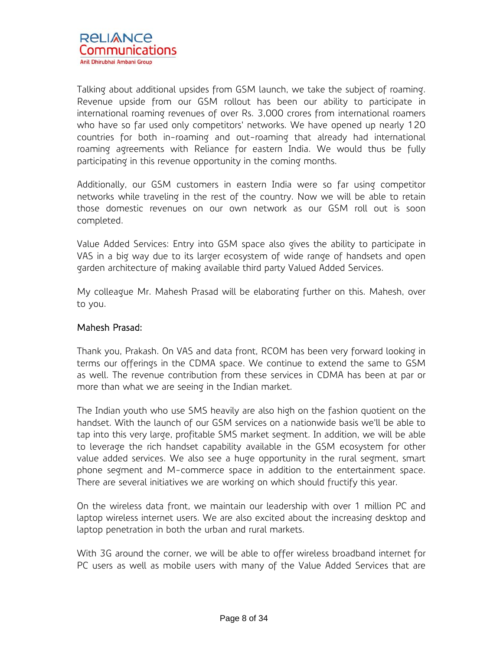Talking about additional upsides from GSM launch, we take the subject of roaming. Revenue upside from our GSM rollout has been our ability to participate in international roaming revenues of over Rs. 3,000 crores from international roamers who have so far used only competitors' networks. We have opened up nearly 120 countries for both in-roaming and out-roaming that already had international roaming agreements with Reliance for eastern India. We would thus be fully participating in this revenue opportunity in the coming months.

Additionally, our GSM customers in eastern India were so far using competitor networks while traveling in the rest of the country. Now we will be able to retain those domestic revenues on our own network as our GSM roll out is soon completed.

Value Added Services: Entry into GSM space also gives the ability to participate in VAS in a big way due to its larger ecosystem of wide range of handsets and open garden architecture of making available third party Valued Added Services.

My colleague Mr. Mahesh Prasad will be elaborating further on this. Mahesh, over to you.

# Mahesh Prasad:

Thank you, Prakash. On VAS and data front, RCOM has been very forward looking in terms our offerings in the CDMA space. We continue to extend the same to GSM as well. The revenue contribution from these services in CDMA has been at par or more than what we are seeing in the Indian market.

The Indian youth who use SMS heavily are also high on the fashion quotient on the handset. With the launch of our GSM services on a nationwide basis we'll be able to tap into this very large, profitable SMS market segment. In addition, we will be able to leverage the rich handset capability available in the GSM ecosystem for other value added services. We also see a huge opportunity in the rural segment, smart phone segment and M-commerce space in addition to the entertainment space. There are several initiatives we are working on which should fructify this year.

On the wireless data front, we maintain our leadership with over 1 million PC and laptop wireless internet users. We are also excited about the increasing desktop and laptop penetration in both the urban and rural markets.

With 3G around the corner, we will be able to offer wireless broadband internet for PC users as well as mobile users with many of the Value Added Services that are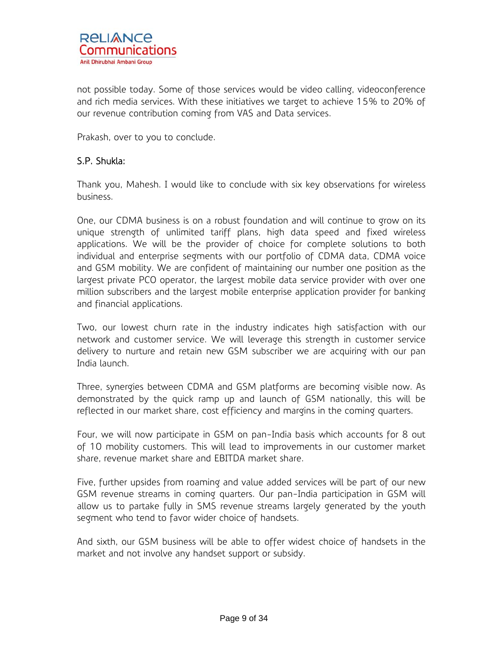not possible today. Some of those services would be video calling, videoconference and rich media services. With these initiatives we target to achieve 15% to 20% of our revenue contribution coming from VAS and Data services.

Prakash, over to you to conclude.

# S.P. Shukla:

Thank you, Mahesh. I would like to conclude with six key observations for wireless business.

One, our CDMA business is on a robust foundation and will continue to grow on its unique strength of unlimited tariff plans, high data speed and fixed wireless applications. We will be the provider of choice for complete solutions to both individual and enterprise segments with our portfolio of CDMA data, CDMA voice and GSM mobility. We are confident of maintaining our number one position as the largest private PCO operator, the largest mobile data service provider with over one million subscribers and the largest mobile enterprise application provider for banking and financial applications.

Two, our lowest churn rate in the industry indicates high satisfaction with our network and customer service. We will leverage this strength in customer service delivery to nurture and retain new GSM subscriber we are acquiring with our pan India launch.

Three, synergies between CDMA and GSM platforms are becoming visible now. As demonstrated by the quick ramp up and launch of GSM nationally, this will be reflected in our market share, cost efficiency and margins in the coming quarters.

Four, we will now participate in GSM on pan-India basis which accounts for 8 out of 10 mobility customers. This will lead to improvements in our customer market share, revenue market share and EBITDA market share.

Five, further upsides from roaming and value added services will be part of our new GSM revenue streams in coming quarters. Our pan-India participation in GSM will allow us to partake fully in SMS revenue streams largely generated by the youth segment who tend to favor wider choice of handsets.

And sixth, our GSM business will be able to offer widest choice of handsets in the market and not involve any handset support or subsidy.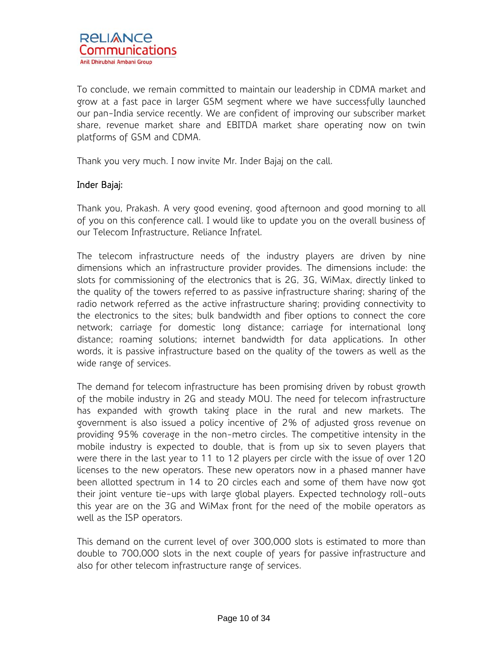To conclude, we remain committed to maintain our leadership in CDMA market and grow at a fast pace in larger GSM segment where we have successfully launched our pan-India service recently. We are confident of improving our subscriber market share, revenue market share and EBITDA market share operating now on twin platforms of GSM and CDMA.

Thank you very much. I now invite Mr. Inder Bajaj on the call.

# Inder Bajaj:

Thank you, Prakash. A very good evening, good afternoon and good morning to all of you on this conference call. I would like to update you on the overall business of our Telecom Infrastructure, Reliance Infratel.

The telecom infrastructure needs of the industry players are driven by nine dimensions which an infrastructure provider provides. The dimensions include: the slots for commissioning of the electronics that is 2G, 3G, WiMax, directly linked to the quality of the towers referred to as passive infrastructure sharing; sharing of the radio network referred as the active infrastructure sharing; providing connectivity to the electronics to the sites; bulk bandwidth and fiber options to connect the core network; carriage for domestic long distance; carriage for international long distance; roaming solutions; internet bandwidth for data applications. In other words, it is passive infrastructure based on the quality of the towers as well as the wide range of services.

The demand for telecom infrastructure has been promising driven by robust growth of the mobile industry in 2G and steady MOU. The need for telecom infrastructure has expanded with growth taking place in the rural and new markets. The government is also issued a policy incentive of 2% of adjusted gross revenue on providing 95% coverage in the non-metro circles. The competitive intensity in the mobile industry is expected to double, that is from up six to seven players that were there in the last year to 11 to 12 players per circle with the issue of over 120 licenses to the new operators. These new operators now in a phased manner have been allotted spectrum in 14 to 20 circles each and some of them have now got their joint venture tie-ups with large global players. Expected technology roll-outs this year are on the 3G and WiMax front for the need of the mobile operators as well as the ISP operators.

This demand on the current level of over 300,000 slots is estimated to more than double to 700,000 slots in the next couple of years for passive infrastructure and also for other telecom infrastructure range of services.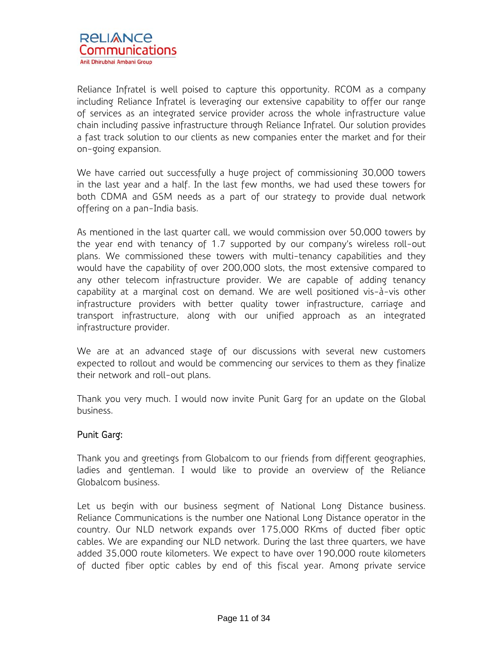Reliance Infratel is well poised to capture this opportunity. RCOM as a company including Reliance Infratel is leveraging our extensive capability to offer our range of services as an integrated service provider across the whole infrastructure value chain including passive infrastructure through Reliance Infratel. Our solution provides a fast track solution to our clients as new companies enter the market and for their on-going expansion.

We have carried out successfully a huge project of commissioning 30,000 towers in the last year and a half. In the last few months, we had used these towers for both CDMA and GSM needs as a part of our strategy to provide dual network offering on a pan-India basis.

As mentioned in the last quarter call, we would commission over 50,000 towers by the year end with tenancy of 1.7 supported by our company's wireless roll-out plans. We commissioned these towers with multi-tenancy capabilities and they would have the capability of over 200,000 slots, the most extensive compared to any other telecom infrastructure provider. We are capable of adding tenancy capability at a marginal cost on demand. We are well positioned vis-à-vis other infrastructure providers with better quality tower infrastructure, carriage and transport infrastructure, along with our unified approach as an integrated infrastructure provider.

We are at an advanced stage of our discussions with several new customers expected to rollout and would be commencing our services to them as they finalize their network and roll-out plans.

Thank you very much. I would now invite Punit Garg for an update on the Global business.

# Punit Garg:

Thank you and greetings from Globalcom to our friends from different geographies, ladies and gentleman. I would like to provide an overview of the Reliance Globalcom business.

Let us begin with our business segment of National Long Distance business. Reliance Communications is the number one National Long Distance operator in the country. Our NLD network expands over 175,000 RKms of ducted fiber optic cables. We are expanding our NLD network. During the last three quarters, we have added 35,000 route kilometers. We expect to have over 190,000 route kilometers of ducted fiber optic cables by end of this fiscal year. Among private service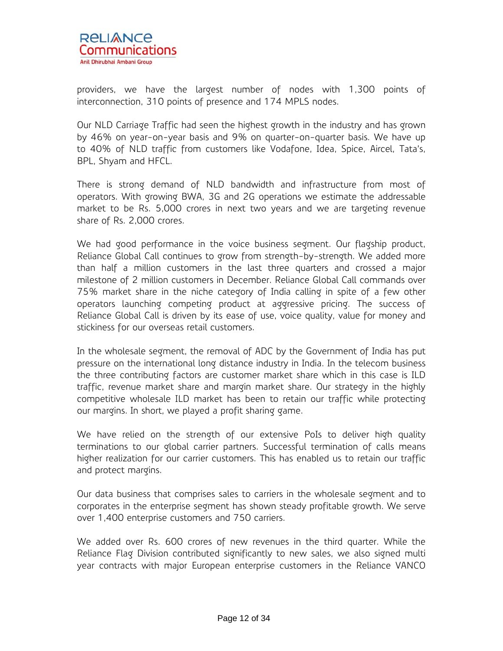

providers, we have the largest number of nodes with 1,300 points of interconnection, 310 points of presence and 174 MPLS nodes.

Our NLD Carriage Traffic had seen the highest growth in the industry and has grown by 46% on year-on-year basis and 9% on quarter-on-quarter basis. We have up to 40% of NLD traffic from customers like Vodafone, Idea, Spice, Aircel, Tata's, BPL, Shyam and HFCL.

There is strong demand of NLD bandwidth and infrastructure from most of operators. With growing BWA, 3G and 2G operations we estimate the addressable market to be Rs. 5,000 crores in next two years and we are targeting revenue share of Rs. 2,000 crores.

We had good performance in the voice business segment. Our flagship product, Reliance Global Call continues to grow from strength-by-strength. We added more than half a million customers in the last three quarters and crossed a major milestone of 2 million customers in December. Reliance Global Call commands over 75% market share in the niche category of India calling in spite of a few other operators launching competing product at aggressive pricing. The success of Reliance Global Call is driven by its ease of use, voice quality, value for money and stickiness for our overseas retail customers.

In the wholesale segment, the removal of ADC by the Government of India has put pressure on the international long distance industry in India. In the telecom business the three contributing factors are customer market share which in this case is ILD traffic, revenue market share and margin market share. Our strategy in the highly competitive wholesale ILD market has been to retain our traffic while protecting our margins. In short, we played a profit sharing game.

We have relied on the strength of our extensive PoIs to deliver high quality terminations to our global carrier partners. Successful termination of calls means higher realization for our carrier customers. This has enabled us to retain our traffic and protect margins.

Our data business that comprises sales to carriers in the wholesale segment and to corporates in the enterprise segment has shown steady profitable growth. We serve over 1,400 enterprise customers and 750 carriers.

We added over Rs. 600 crores of new revenues in the third quarter. While the Reliance Flag Division contributed significantly to new sales, we also signed multi year contracts with major European enterprise customers in the Reliance VANCO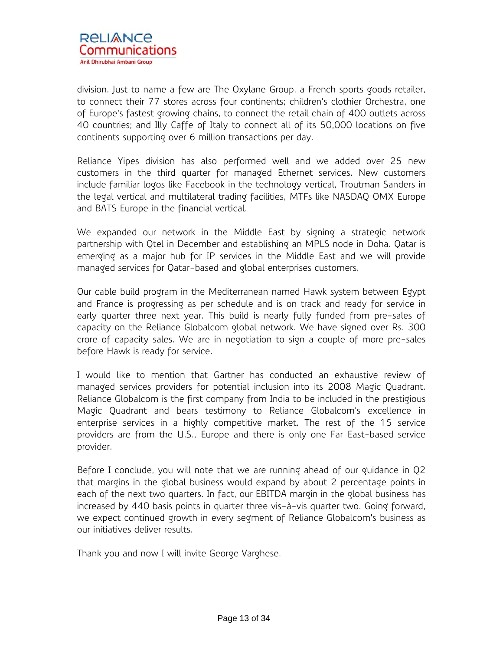

division. Just to name a few are The Oxylane Group, a French sports goods retailer, to connect their 77 stores across four continents; children's clothier Orchestra, one of Europe's fastest growing chains, to connect the retail chain of 400 outlets across 40 countries; and Illy Caffe of Italy to connect all of its 50,000 locations on five continents supporting over 6 million transactions per day.

Reliance Yipes division has also performed well and we added over 25 new customers in the third quarter for managed Ethernet services. New customers include familiar logos like Facebook in the technology vertical, Troutman Sanders in the legal vertical and multilateral trading facilities, MTFs like NASDAQ OMX Europe and BATS Europe in the financial vertical.

We expanded our network in the Middle East by signing a strategic network partnership with Qtel in December and establishing an MPLS node in Doha. Qatar is emerging as a major hub for IP services in the Middle East and we will provide managed services for Qatar-based and global enterprises customers.

Our cable build program in the Mediterranean named Hawk system between Egypt and France is progressing as per schedule and is on track and ready for service in early quarter three next year. This build is nearly fully funded from pre-sales of capacity on the Reliance Globalcom global network. We have signed over Rs. 300 crore of capacity sales. We are in negotiation to sign a couple of more pre-sales before Hawk is ready for service.

I would like to mention that Gartner has conducted an exhaustive review of managed services providers for potential inclusion into its 2008 Magic Quadrant. Reliance Globalcom is the first company from India to be included in the prestigious Magic Quadrant and bears testimony to Reliance Globalcom's excellence in enterprise services in a highly competitive market. The rest of the 15 service providers are from the U.S., Europe and there is only one Far East-based service provider.

Before I conclude, you will note that we are running ahead of our guidance in Q2 that margins in the global business would expand by about 2 percentage points in each of the next two quarters. In fact, our EBITDA margin in the global business has increased by 440 basis points in quarter three vis-à-vis quarter two. Going forward, we expect continued growth in every segment of Reliance Globalcom's business as our initiatives deliver results.

Thank you and now I will invite George Varghese.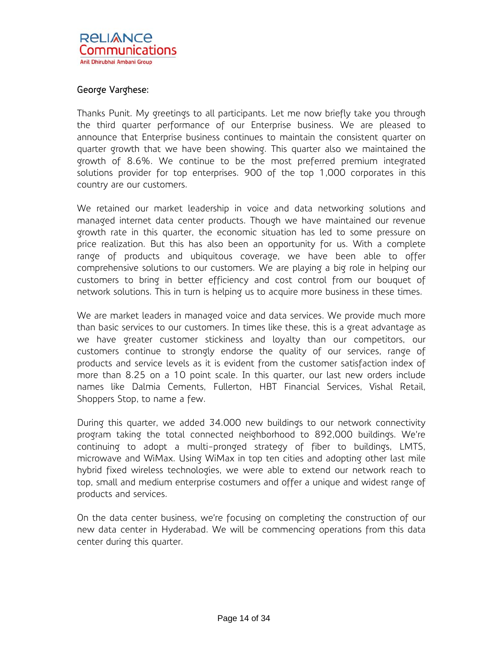# George Varghese:

Thanks Punit. My greetings to all participants. Let me now briefly take you through the third quarter performance of our Enterprise business. We are pleased to announce that Enterprise business continues to maintain the consistent quarter on quarter growth that we have been showing. This quarter also we maintained the growth of 8.6%. We continue to be the most preferred premium integrated solutions provider for top enterprises. 900 of the top 1,000 corporates in this country are our customers.

We retained our market leadership in voice and data networking solutions and managed internet data center products. Though we have maintained our revenue growth rate in this quarter, the economic situation has led to some pressure on price realization. But this has also been an opportunity for us. With a complete range of products and ubiquitous coverage, we have been able to offer comprehensive solutions to our customers. We are playing a big role in helping our customers to bring in better efficiency and cost control from our bouquet of network solutions. This in turn is helping us to acquire more business in these times.

We are market leaders in managed voice and data services. We provide much more than basic services to our customers. In times like these, this is a great advantage as we have greater customer stickiness and loyalty than our competitors, our customers continue to strongly endorse the quality of our services, range of products and service levels as it is evident from the customer satisfaction index of more than 8.25 on a 10 point scale. In this quarter, our last new orders include names like Dalmia Cements, Fullerton, HBT Financial Services, Vishal Retail, Shoppers Stop, to name a few.

During this quarter, we added 34.000 new buildings to our network connectivity program taking the total connected neighborhood to 892,000 buildings. We're continuing to adopt a multi-pronged strategy of fiber to buildings, LMTS, microwave and WiMax. Using WiMax in top ten cities and adopting other last mile hybrid fixed wireless technologies, we were able to extend our network reach to top, small and medium enterprise costumers and offer a unique and widest range of products and services.

On the data center business, we're focusing on completing the construction of our new data center in Hyderabad. We will be commencing operations from this data center during this quarter.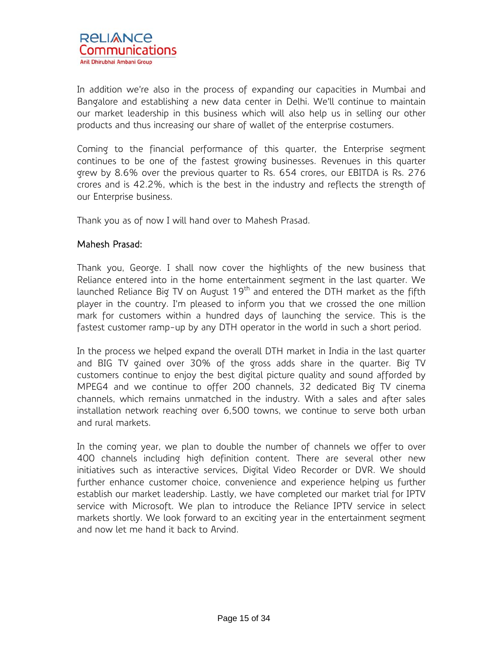In addition we're also in the process of expanding our capacities in Mumbai and Bangalore and establishing a new data center in Delhi. We'll continue to maintain our market leadership in this business which will also help us in selling our other products and thus increasing our share of wallet of the enterprise costumers.

Coming to the financial performance of this quarter, the Enterprise segment continues to be one of the fastest growing businesses. Revenues in this quarter grew by 8.6% over the previous quarter to Rs. 654 crores, our EBITDA is Rs. 276 crores and is 42.2%, which is the best in the industry and reflects the strength of our Enterprise business.

Thank you as of now I will hand over to Mahesh Prasad.

# Mahesh Prasad:

Thank you, George. I shall now cover the highlights of the new business that Reliance entered into in the home entertainment segment in the last quarter. We launched Reliance Big TV on August  $19<sup>th</sup>$  and entered the DTH market as the fifth player in the country. I'm pleased to inform you that we crossed the one million mark for customers within a hundred days of launching the service. This is the fastest customer ramp-up by any DTH operator in the world in such a short period.

In the process we helped expand the overall DTH market in India in the last quarter and BIG TV gained over 30% of the gross adds share in the quarter. Big TV customers continue to enjoy the best digital picture quality and sound afforded by MPEG4 and we continue to offer 200 channels, 32 dedicated Big TV cinema channels, which remains unmatched in the industry. With a sales and after sales installation network reaching over 6,500 towns, we continue to serve both urban and rural markets.

In the coming year, we plan to double the number of channels we offer to over 400 channels including high definition content. There are several other new initiatives such as interactive services, Digital Video Recorder or DVR. We should further enhance customer choice, convenience and experience helping us further establish our market leadership. Lastly, we have completed our market trial for IPTV service with Microsoft. We plan to introduce the Reliance IPTV service in select markets shortly. We look forward to an exciting year in the entertainment segment and now let me hand it back to Arvind.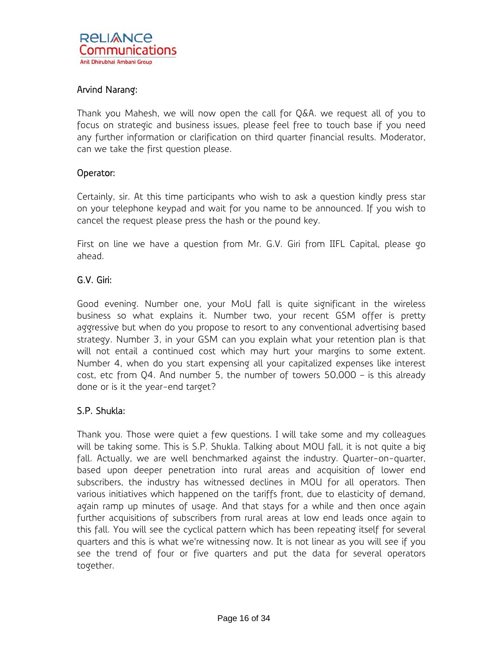# Arvind Narang:

Thank you Mahesh, we will now open the call for Q&A. we request all of you to focus on strategic and business issues, please feel free to touch base if you need any further information or clarification on third quarter financial results. Moderator, can we take the first question please.

## Operator:

Certainly, sir. At this time participants who wish to ask a question kindly press star on your telephone keypad and wait for you name to be announced. If you wish to cancel the request please press the hash or the pound key.

First on line we have a question from Mr. G.V. Giri from IIFL Capital, please go ahead.

# G.V. Giri:

Good evening. Number one, your MoU fall is quite significant in the wireless business so what explains it. Number two, your recent GSM offer is pretty aggressive but when do you propose to resort to any conventional advertising based strategy. Number 3, in your GSM can you explain what your retention plan is that will not entail a continued cost which may hurt your margins to some extent. Number 4, when do you start expensing all your capitalized expenses like interest cost, etc from Q4. And number 5, the number of towers 50,000 – is this already done or is it the year-end target?

# S.P. Shukla:

Thank you. Those were quiet a few questions. I will take some and my colleagues will be taking some. This is S.P. Shukla. Talking about MOU fall, it is not quite a big fall. Actually, we are well benchmarked against the industry. Quarter-on-quarter, based upon deeper penetration into rural areas and acquisition of lower end subscribers, the industry has witnessed declines in MOU for all operators. Then various initiatives which happened on the tariffs front, due to elasticity of demand, again ramp up minutes of usage. And that stays for a while and then once again further acquisitions of subscribers from rural areas at low end leads once again to this fall. You will see the cyclical pattern which has been repeating itself for several quarters and this is what we're witnessing now. It is not linear as you will see if you see the trend of four or five quarters and put the data for several operators together.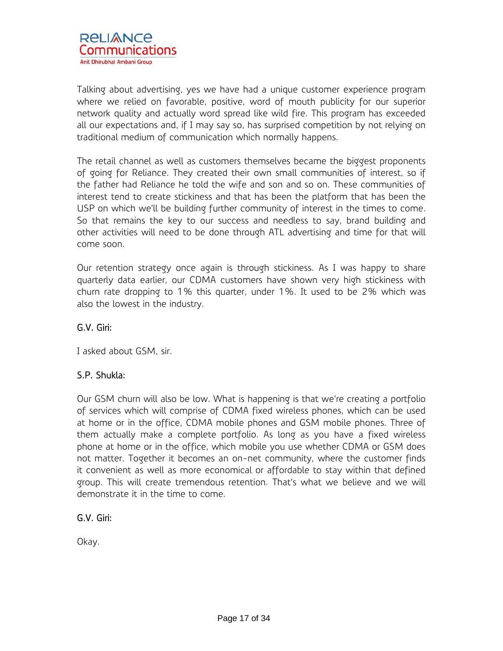Talking about advertising, yes we have had a unique customer experience program where we relied on favorable, positive, word of mouth publicity for our superior network quality and actually word spread like wild fire. This program has exceeded all our expectations and, if I may say so, has surprised competition by not relying on traditional medium of communication which normally happens.

The retail channel as well as customers themselves became the biggest proponents of going for Reliance. They created their own small communities of interest, so if the father had Reliance he told the wife and son and so on. These communities of interest tend to create stickiness and that has been the platform that has been the USP on which we'll be building further community of interest in the times to come. So that remains the key to our success and needless to say, brand building and other activities will need to be done through ATL advertising and time for that will come soon.

Our retention strategy once again is through stickiness. As I was happy to share quarterly data earlier, our CDMA customers have shown very high stickiness with churn rate dropping to 1% this quarter, under 1%. It used to be 2% which was also the lowest in the industry.

# G.V. Giri:

I asked about GSM, sir.

# S.P. Shukla:

Our GSM churn will also be low. What is happening is that we're creating a portfolio of services which will comprise of CDMA fixed wireless phones, which can be used at home or in the office, CDMA mobile phones and GSM mobile phones. Three of them actually make a complete portfolio. As long as you have a fixed wireless phone at home or in the office, which mobile you use whether CDMA or GSM does not matter. Together it becomes an on-net community, where the customer finds it convenient as well as more economical or affordable to stay within that defined group. This will create tremendous retention. That's what we believe and we will demonstrate it in the time to come.

# G.V. Giri:

Okay.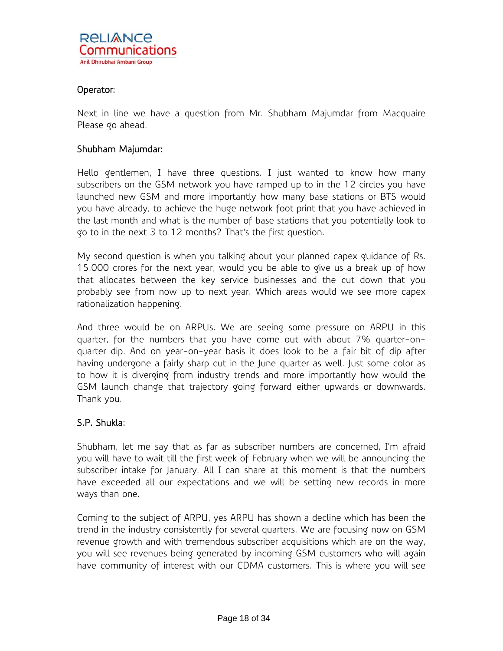# Operator:

Next in line we have a question from Mr. Shubham Majumdar from Macquaire Please go ahead.

## Shubham Majumdar:

Hello gentlemen, I have three questions. I just wanted to know how many subscribers on the GSM network you have ramped up to in the 12 circles you have launched new GSM and more importantly how many base stations or BTS would you have already, to achieve the huge network foot print that you have achieved in the last month and what is the number of base stations that you potentially look to go to in the next 3 to 12 months? That's the first question.

My second question is when you talking about your planned capex guidance of Rs. 15,000 crores for the next year, would you be able to give us a break up of how that allocates between the key service businesses and the cut down that you probably see from now up to next year. Which areas would we see more capex rationalization happening.

And three would be on ARPUs. We are seeing some pressure on ARPU in this quarter, for the numbers that you have come out with about 7% quarter-onquarter dip. And on year-on-year basis it does look to be a fair bit of dip after having undergone a fairly sharp cut in the June quarter as well. Just some color as to how it is diverging from industry trends and more importantly how would the GSM launch change that trajectory going forward either upwards or downwards. Thank you.

# S.P. Shukla:

Shubham, let me say that as far as subscriber numbers are concerned, I'm afraid you will have to wait till the first week of February when we will be announcing the subscriber intake for January. All I can share at this moment is that the numbers have exceeded all our expectations and we will be setting new records in more ways than one.

Coming to the subject of ARPU, yes ARPU has shown a decline which has been the trend in the industry consistently for several quarters. We are focusing now on GSM revenue growth and with tremendous subscriber acquisitions which are on the way, you will see revenues being generated by incoming GSM customers who will again have community of interest with our CDMA customers. This is where you will see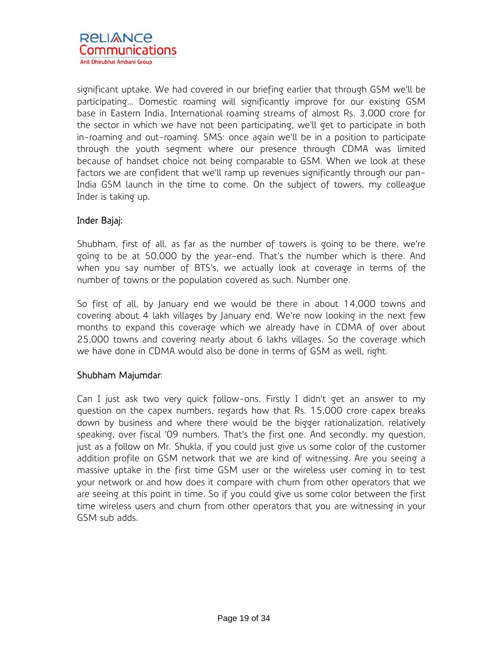significant uptake. We had covered in our briefing earlier that through GSM we'll be participating… Domestic roaming will significantly improve for our existing GSM base in Eastern India. International roaming streams of almost Rs. 3,000 crore for the sector in which we have not been participating, we'll get to participate in both in-roaming and out-roaming. SMS: once again we'll be in a position to participate through the youth segment where our presence through CDMA was limited because of handset choice not being comparable to GSM. When we look at these factors we are confident that we'll ramp up revenues significantly through our pan-India GSM launch in the time to come. On the subject of towers, my colleague Inder is taking up.

# Inder Bajaj:

Shubham, first of all, as far as the number of towers is going to be there, we're going to be at 50,000 by the year-end. That's the number which is there. And when you say number of BTS's, we actually look at coverage in terms of the number of towns or the population covered as such. Number one.

So first of all, by January end we would be there in about 14,000 towns and covering about 4 lakh villages by January end. We're now looking in the next few months to expand this coverage which we already have in CDMA of over about 25,000 towns and covering nearly about 6 lakhs villages. So the coverage which we have done in CDMA would also be done in terms of GSM as well, right.

# Shubham Majumdar:

Can I just ask two very quick follow-ons. Firstly I didn't get an answer to my question on the capex numbers, regards how that Rs. 15,000 crore capex breaks down by business and where there would be the bigger rationalization, relatively speaking, over fiscal '09 numbers. That's the first one. And secondly, my question, just as a follow on Mr. Shukla, if you could just give us some color of the customer addition profile on GSM network that we are kind of witnessing. Are you seeing a massive uptake in the first time GSM user or the wireless user coming in to test your network or and how does it compare with churn from other operators that we are seeing at this point in time. So if you could give us some color between the first time wireless users and churn from other operators that you are witnessing in your GSM sub adds.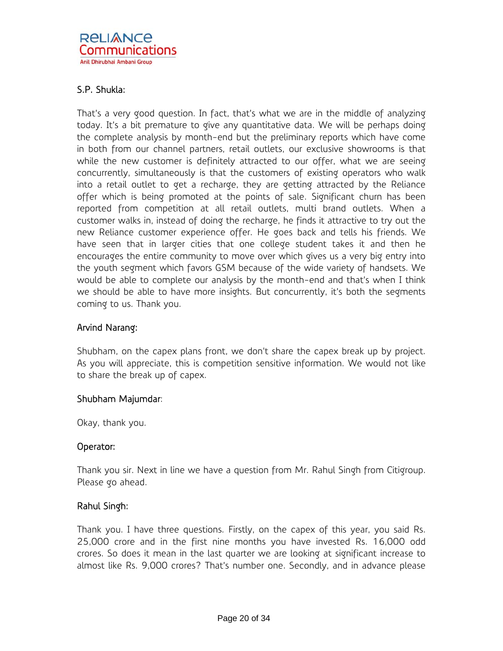# S.P. Shukla:

That's a very good question. In fact, that's what we are in the middle of analyzing today. It's a bit premature to give any quantitative data. We will be perhaps doing the complete analysis by month-end but the preliminary reports which have come in both from our channel partners, retail outlets, our exclusive showrooms is that while the new customer is definitely attracted to our offer, what we are seeing concurrently, simultaneously is that the customers of existing operators who walk into a retail outlet to get a recharge, they are getting attracted by the Reliance offer which is being promoted at the points of sale. Significant churn has been reported from competition at all retail outlets, multi brand outlets. When a customer walks in, instead of doing the recharge, he finds it attractive to try out the new Reliance customer experience offer. He goes back and tells his friends. We have seen that in larger cities that one college student takes it and then he encourages the entire community to move over which gives us a very big entry into the youth segment which favors GSM because of the wide variety of handsets. We would be able to complete our analysis by the month-end and that's when I think we should be able to have more insights. But concurrently, it's both the segments coming to us. Thank you.

# Arvind Narang:

Shubham, on the capex plans front, we don't share the capex break up by project. As you will appreciate, this is competition sensitive information. We would not like to share the break up of capex.

# Shubham Majumdar:

Okay, thank you.

# Operator:

Thank you sir. Next in line we have a question from Mr. Rahul Singh from Citigroup. Please go ahead.

# Rahul Singh:

Thank you. I have three questions. Firstly, on the capex of this year, you said Rs. 25,000 crore and in the first nine months you have invested Rs. 16,000 odd crores. So does it mean in the last quarter we are looking at significant increase to almost like Rs. 9,000 crores? That's number one. Secondly, and in advance please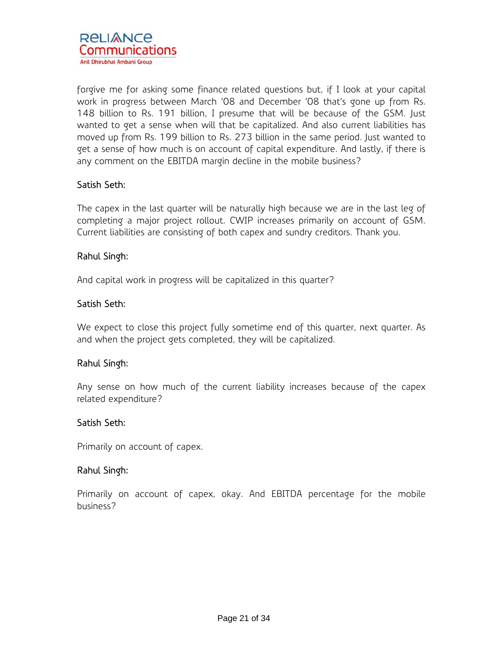forgive me for asking some finance related questions but, if I look at your capital work in progress between March '08 and December '08 that's gone up from Rs. 148 billion to Rs. 191 billion, I presume that will be because of the GSM. Just wanted to get a sense when will that be capitalized. And also current liabilities has moved up from Rs. 199 billion to Rs. 273 billion in the same period. Just wanted to get a sense of how much is on account of capital expenditure. And lastly, if there is any comment on the EBITDA margin decline in the mobile business?

# Satish Seth:

The capex in the last quarter will be naturally high because we are in the last leg of completing a major project rollout. CWIP increases primarily on account of GSM. Current liabilities are consisting of both capex and sundry creditors. Thank you.

# Rahul Singh:

And capital work in progress will be capitalized in this quarter?

# Satish Seth:

We expect to close this project fully sometime end of this quarter, next quarter. As and when the project gets completed, they will be capitalized.

# Rahul Singh:

Any sense on how much of the current liability increases because of the capex related expenditure?

## Satish Seth:

Primarily on account of capex.

# Rahul Singh:

Primarily on account of capex, okay. And EBITDA percentage for the mobile business?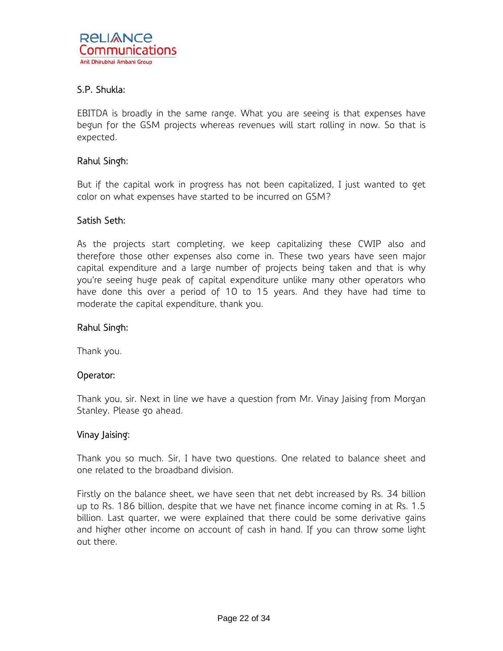# S.P. Shukla:

EBITDA is broadly in the same range. What you are seeing is that expenses have begun for the GSM projects whereas revenues will start rolling in now. So that is expected.

## Rahul Singh:

But if the capital work in progress has not been capitalized, I just wanted to get color on what expenses have started to be incurred on GSM?

## Satish Seth:

As the projects start completing, we keep capitalizing these CWIP also and therefore those other expenses also come in. These two years have seen major capital expenditure and a large number of projects being taken and that is why you're seeing huge peak of capital expenditure unlike many other operators who have done this over a period of 10 to 15 years. And they have had time to moderate the capital expenditure, thank you.

## Rahul Singh:

Thank you.

## Operator:

Thank you, sir. Next in line we have a question from Mr. Vinay Jaising from Morgan Stanley. Please go ahead.

## Vinay Jaising:

Thank you so much. Sir, I have two questions. One related to balance sheet and one related to the broadband division.

Firstly on the balance sheet, we have seen that net debt increased by Rs. 34 billion up to Rs. 186 billion, despite that we have net finance income coming in at Rs. 1.5 billion. Last quarter, we were explained that there could be some derivative gains and higher other income on account of cash in hand. If you can throw some light out there.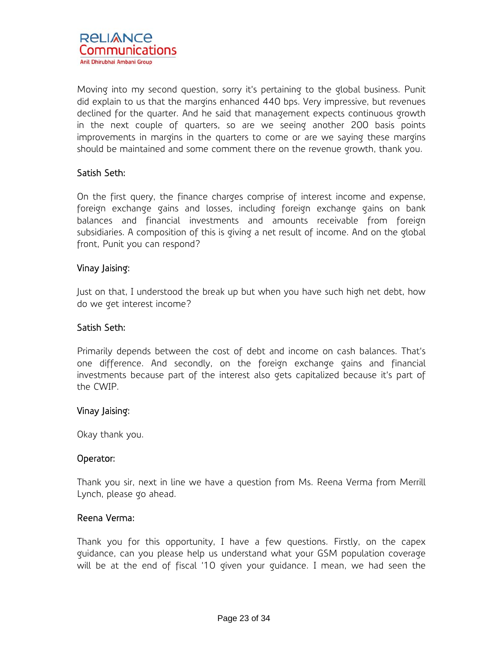Moving into my second question, sorry it's pertaining to the global business. Punit did explain to us that the margins enhanced 440 bps. Very impressive, but revenues declined for the quarter. And he said that management expects continuous growth in the next couple of quarters, so are we seeing another 200 basis points improvements in margins in the quarters to come or are we saying these margins should be maintained and some comment there on the revenue growth, thank you.

# Satish Seth:

On the first query, the finance charges comprise of interest income and expense, foreign exchange gains and losses, including foreign exchange gains on bank balances and financial investments and amounts receivable from foreign subsidiaries. A composition of this is giving a net result of income. And on the global front, Punit you can respond?

# Vinay Jaising:

Just on that, I understood the break up but when you have such high net debt, how do we get interest income?

# Satish Seth:

Primarily depends between the cost of debt and income on cash balances. That's one difference. And secondly, on the foreign exchange gains and financial investments because part of the interest also gets capitalized because it's part of the CWIP.

# Vinay Jaising:

Okay thank you.

# Operator:

Thank you sir, next in line we have a question from Ms. Reena Verma from Merrill Lynch, please go ahead.

# Reena Verma:

Thank you for this opportunity, I have a few questions. Firstly, on the capex guidance, can you please help us understand what your GSM population coverage will be at the end of fiscal '10 given your guidance. I mean, we had seen the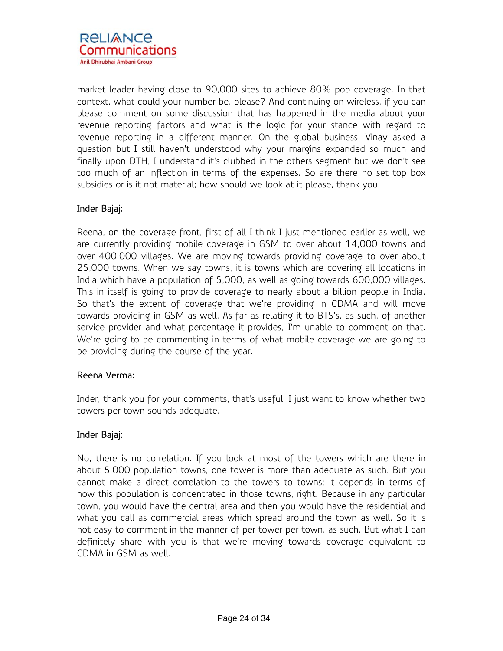market leader having close to 90,000 sites to achieve 80% pop coverage. In that context, what could your number be, please? And continuing on wireless, if you can please comment on some discussion that has happened in the media about your revenue reporting factors and what is the logic for your stance with regard to revenue reporting in a different manner. On the global business, Vinay asked a question but I still haven't understood why your margins expanded so much and finally upon DTH, I understand it's clubbed in the others segment but we don't see too much of an inflection in terms of the expenses. So are there no set top box subsidies or is it not material; how should we look at it please, thank you.

# Inder Bajaj:

Reena, on the coverage front, first of all I think I just mentioned earlier as well, we are currently providing mobile coverage in GSM to over about 14,000 towns and over 400,000 villages. We are moving towards providing coverage to over about 25,000 towns. When we say towns, it is towns which are covering all locations in India which have a population of 5,000, as well as going towards 600,000 villages. This in itself is going to provide coverage to nearly about a billion people in India. So that's the extent of coverage that we're providing in CDMA and will move towards providing in GSM as well. As far as relating it to BTS's, as such, of another service provider and what percentage it provides, I'm unable to comment on that. We're going to be commenting in terms of what mobile coverage we are going to be providing during the course of the year.

# Reena Verma:

Inder, thank you for your comments, that's useful. I just want to know whether two towers per town sounds adequate.

# Inder Bajaj:

No, there is no correlation. If you look at most of the towers which are there in about 5,000 population towns, one tower is more than adequate as such. But you cannot make a direct correlation to the towers to towns; it depends in terms of how this population is concentrated in those towns, right. Because in any particular town, you would have the central area and then you would have the residential and what you call as commercial areas which spread around the town as well. So it is not easy to comment in the manner of per tower per town, as such. But what I can definitely share with you is that we're moving towards coverage equivalent to CDMA in GSM as well.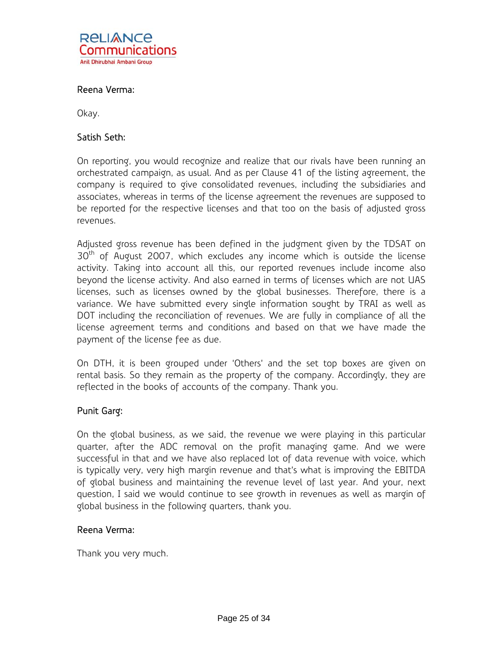

# Reena Verma:

Okay.

## Satish Seth:

On reporting, you would recognize and realize that our rivals have been running an orchestrated campaign, as usual. And as per Clause 41 of the listing agreement, the company is required to give consolidated revenues, including the subsidiaries and associates, whereas in terms of the license agreement the revenues are supposed to be reported for the respective licenses and that too on the basis of adjusted gross revenues.

Adjusted gross revenue has been defined in the judgment given by the TDSAT on  $30<sup>th</sup>$  of August 2007, which excludes any income which is outside the license activity. Taking into account all this, our reported revenues include income also beyond the license activity. And also earned in terms of licenses which are not UAS licenses, such as licenses owned by the global businesses. Therefore, there is a variance. We have submitted every single information sought by TRAI as well as DOT including the reconciliation of revenues. We are fully in compliance of all the license agreement terms and conditions and based on that we have made the payment of the license fee as due.

On DTH, it is been grouped under 'Others' and the set top boxes are given on rental basis. So they remain as the property of the company. Accordingly, they are reflected in the books of accounts of the company. Thank you.

## Punit Garg:

On the global business, as we said, the revenue we were playing in this particular quarter, after the ADC removal on the profit managing game. And we were successful in that and we have also replaced lot of data revenue with voice, which is typically very, very high margin revenue and that's what is improving the EBITDA of global business and maintaining the revenue level of last year. And your, next question, I said we would continue to see growth in revenues as well as margin of global business in the following quarters, thank you.

## Reena Verma:

Thank you very much.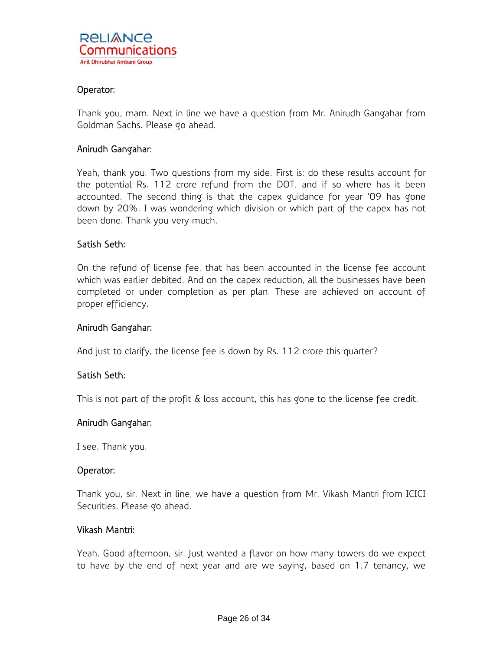## Operator:

Thank you, mam. Next in line we have a question from Mr. Anirudh Gangahar from Goldman Sachs. Please go ahead.

## Anirudh Gangahar:

Yeah, thank you. Two questions from my side. First is: do these results account for the potential Rs. 112 crore refund from the DOT, and if so where has it been accounted. The second thing is that the capex guidance for year '09 has gone down by 20%. I was wondering which division or which part of the capex has not been done. Thank you very much.

## Satish Seth:

On the refund of license fee, that has been accounted in the license fee account which was earlier debited. And on the capex reduction, all the businesses have been completed or under completion as per plan. These are achieved on account of proper efficiency.

## Anirudh Gangahar:

And just to clarify, the license fee is down by Rs. 112 crore this quarter?

## Satish Seth:

This is not part of the profit & loss account, this has gone to the license fee credit.

#### Anirudh Gangahar:

I see. Thank you.

## Operator:

Thank you, sir. Next in line, we have a question from Mr. Vikash Mantri from ICICI Securities. Please go ahead.

## Vikash Mantri:

Yeah. Good afternoon, sir. Just wanted a flavor on how many towers do we expect to have by the end of next year and are we saying, based on 1.7 tenancy, we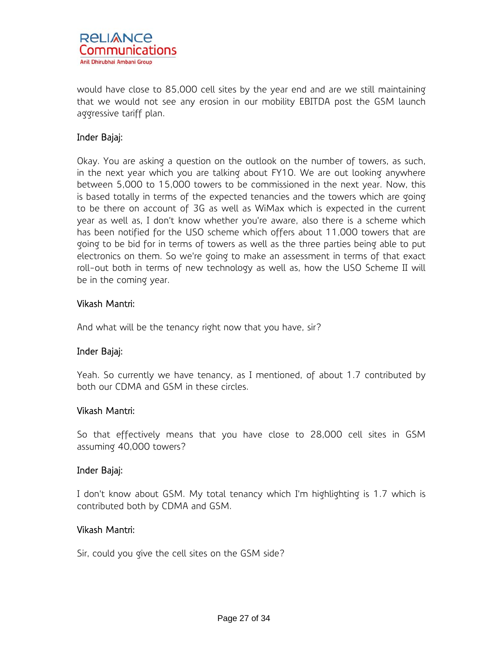

would have close to 85,000 cell sites by the year end and are we still maintaining that we would not see any erosion in our mobility EBITDA post the GSM launch aggressive tariff plan.

# Inder Bajaj:

Okay. You are asking a question on the outlook on the number of towers, as such, in the next year which you are talking about FY10. We are out looking anywhere between 5,000 to 15,000 towers to be commissioned in the next year. Now, this is based totally in terms of the expected tenancies and the towers which are going to be there on account of 3G as well as WiMax which is expected in the current year as well as, I don't know whether you're aware, also there is a scheme which has been notified for the USO scheme which offers about 11,000 towers that are going to be bid for in terms of towers as well as the three parties being able to put electronics on them. So we're going to make an assessment in terms of that exact roll-out both in terms of new technology as well as, how the USO Scheme II will be in the coming year.

## Vikash Mantri:

And what will be the tenancy right now that you have, sir?

# Inder Bajaj:

Yeah. So currently we have tenancy, as I mentioned, of about 1.7 contributed by both our CDMA and GSM in these circles.

## Vikash Mantri:

So that effectively means that you have close to 28,000 cell sites in GSM assuming 40,000 towers?

## Inder Bajaj:

I don't know about GSM. My total tenancy which I'm highlighting is 1.7 which is contributed both by CDMA and GSM.

## Vikash Mantri:

Sir, could you give the cell sites on the GSM side?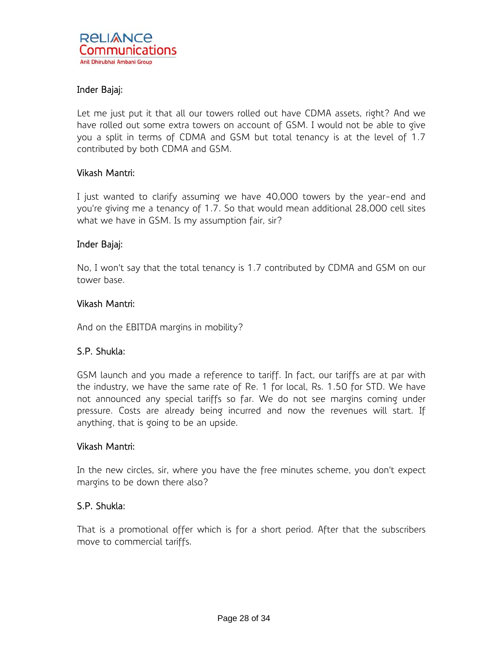# Inder Bajaj:

Let me just put it that all our towers rolled out have CDMA assets, right? And we have rolled out some extra towers on account of GSM. I would not be able to give you a split in terms of CDMA and GSM but total tenancy is at the level of 1.7 contributed by both CDMA and GSM.

## Vikash Mantri:

I just wanted to clarify assuming we have 40,000 towers by the year-end and you're giving me a tenancy of 1.7. So that would mean additional 28,000 cell sites what we have in GSM. Is my assumption fair, sir?

## Inder Bajaj:

No, I won't say that the total tenancy is 1.7 contributed by CDMA and GSM on our tower base.

## Vikash Mantri:

And on the EBITDA margins in mobility?

# S.P. Shukla:

GSM launch and you made a reference to tariff. In fact, our tariffs are at par with the industry, we have the same rate of Re. 1 for local, Rs. 1.50 for STD. We have not announced any special tariffs so far. We do not see margins coming under pressure. Costs are already being incurred and now the revenues will start. If anything, that is going to be an upside.

## Vikash Mantri:

In the new circles, sir, where you have the free minutes scheme, you don't expect margins to be down there also?

## S.P. Shukla:

That is a promotional offer which is for a short period. After that the subscribers move to commercial tariffs.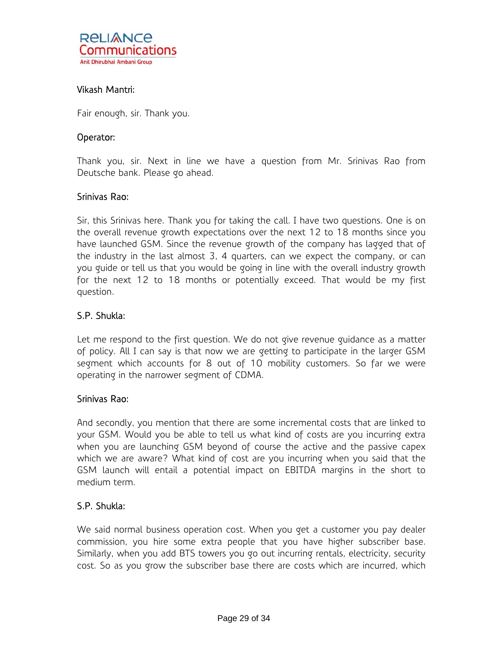# Vikash Mantri:

Fair enough, sir. Thank you.

## Operator:

Thank you, sir. Next in line we have a question from Mr. Srinivas Rao from Deutsche bank. Please go ahead.

## Srinivas Rao:

Sir, this Srinivas here. Thank you for taking the call. I have two questions. One is on the overall revenue growth expectations over the next 12 to 18 months since you have launched GSM. Since the revenue growth of the company has lagged that of the industry in the last almost 3, 4 quarters, can we expect the company, or can you guide or tell us that you would be going in line with the overall industry growth for the next 12 to 18 months or potentially exceed. That would be my first question.

## S.P. Shukla:

Let me respond to the first question. We do not give revenue guidance as a matter of policy. All I can say is that now we are getting to participate in the larger GSM segment which accounts for 8 out of 10 mobility customers. So far we were operating in the narrower segment of CDMA.

## Srinivas Rao:

And secondly, you mention that there are some incremental costs that are linked to your GSM. Would you be able to tell us what kind of costs are you incurring extra when you are launching GSM beyond of course the active and the passive capex which we are aware? What kind of cost are you incurring when you said that the GSM launch will entail a potential impact on EBITDA margins in the short to medium term.

## S.P. Shukla:

We said normal business operation cost. When you get a customer you pay dealer commission, you hire some extra people that you have higher subscriber base. Similarly, when you add BTS towers you go out incurring rentals, electricity, security cost. So as you grow the subscriber base there are costs which are incurred, which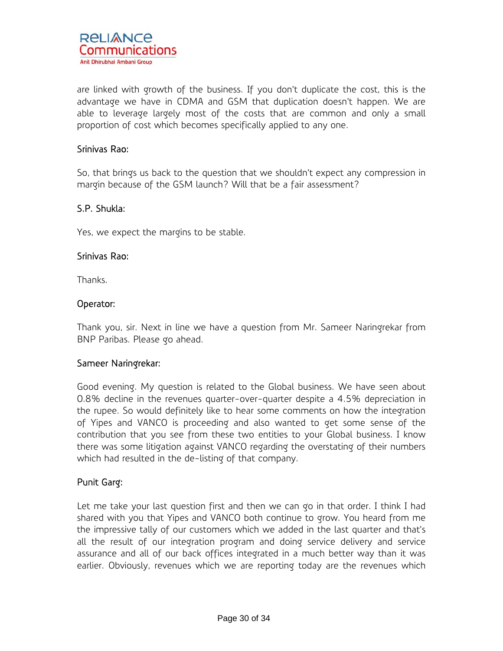

are linked with growth of the business. If you don't duplicate the cost, this is the advantage we have in CDMA and GSM that duplication doesn't happen. We are able to leverage largely most of the costs that are common and only a small proportion of cost which becomes specifically applied to any one.

## Srinivas Rao:

So, that brings us back to the question that we shouldn't expect any compression in margin because of the GSM launch? Will that be a fair assessment?

## S.P. Shukla:

Yes, we expect the margins to be stable.

## Srinivas Rao:

Thanks.

## Operator:

Thank you, sir. Next in line we have a question from Mr. Sameer Naringrekar from BNP Paribas. Please go ahead.

## Sameer Naringrekar:

Good evening. My question is related to the Global business. We have seen about 0.8% decline in the revenues quarter-over-quarter despite a 4.5% depreciation in the rupee. So would definitely like to hear some comments on how the integration of Yipes and VANCO is proceeding and also wanted to get some sense of the contribution that you see from these two entities to your Global business. I know there was some litigation against VANCO regarding the overstating of their numbers which had resulted in the de-listing of that company.

# Punit Garg:

Let me take your last question first and then we can go in that order. I think I had shared with you that Yipes and VANCO both continue to grow. You heard from me the impressive tally of our customers which we added in the last quarter and that's all the result of our integration program and doing service delivery and service assurance and all of our back offices integrated in a much better way than it was earlier. Obviously, revenues which we are reporting today are the revenues which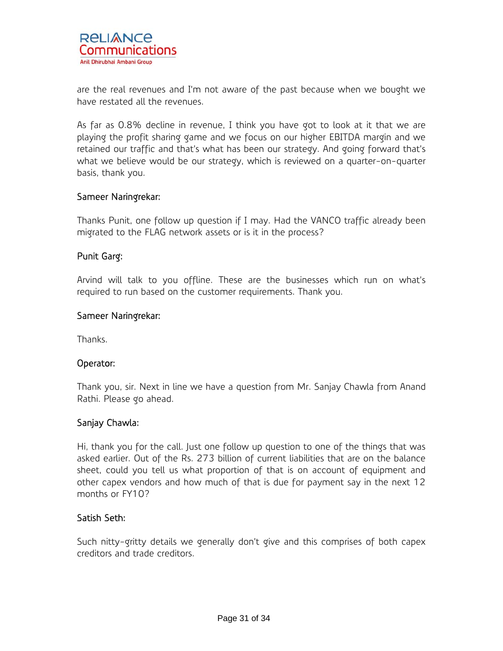are the real revenues and I'm not aware of the past because when we bought we have restated all the revenues.

As far as 0.8% decline in revenue, I think you have got to look at it that we are playing the profit sharing game and we focus on our higher EBITDA margin and we retained our traffic and that's what has been our strategy. And going forward that's what we believe would be our strategy, which is reviewed on a quarter-on-quarter basis, thank you.

# Sameer Naringrekar:

Thanks Punit, one follow up question if I may. Had the VANCO traffic already been migrated to the FLAG network assets or is it in the process?

# Punit Garg:

Arvind will talk to you offline. These are the businesses which run on what's required to run based on the customer requirements. Thank you.

# Sameer Naringrekar:

Thanks.

# Operator:

Thank you, sir. Next in line we have a question from Mr. Sanjay Chawla from Anand Rathi. Please go ahead.

# Sanjay Chawla:

Hi, thank you for the call. Just one follow up question to one of the things that was asked earlier. Out of the Rs. 273 billion of current liabilities that are on the balance sheet, could you tell us what proportion of that is on account of equipment and other capex vendors and how much of that is due for payment say in the next 12 months or FY10?

# Satish Seth:

Such nitty-gritty details we generally don't give and this comprises of both capex creditors and trade creditors.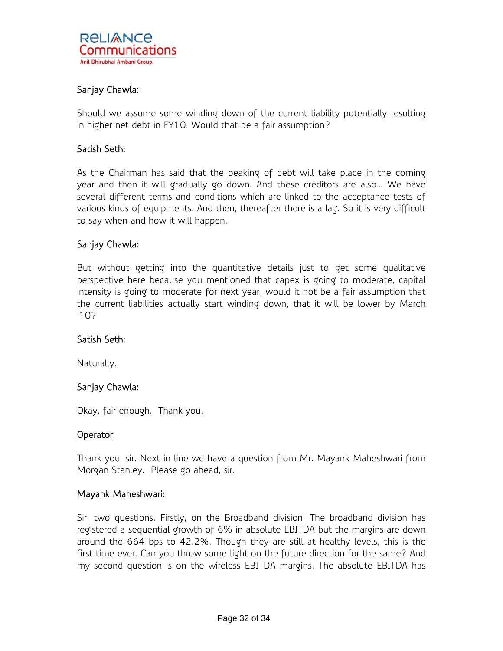# Sanjay Chawla::

Should we assume some winding down of the current liability potentially resulting in higher net debt in FY10. Would that be a fair assumption?

# Satish Seth:

As the Chairman has said that the peaking of debt will take place in the coming year and then it will gradually go down. And these creditors are also… We have several different terms and conditions which are linked to the acceptance tests of various kinds of equipments. And then, thereafter there is a lag. So it is very difficult to say when and how it will happen.

## Sanjay Chawla:

But without getting into the quantitative details just to get some qualitative perspective here because you mentioned that capex is going to moderate, capital intensity is going to moderate for next year, would it not be a fair assumption that the current liabilities actually start winding down, that it will be lower by March '10?

## Satish Seth:

Naturally.

## Sanjay Chawla:

Okay, fair enough. Thank you.

## Operator:

Thank you, sir. Next in line we have a question from Mr. Mayank Maheshwari from Morgan Stanley. Please go ahead, sir.

## Mayank Maheshwari:

Sir, two questions. Firstly, on the Broadband division. The broadband division has registered a sequential growth of 6% in absolute EBITDA but the margins are down around the 664 bps to 42.2%. Though they are still at healthy levels, this is the first time ever. Can you throw some light on the future direction for the same? And my second question is on the wireless EBITDA margins. The absolute EBITDA has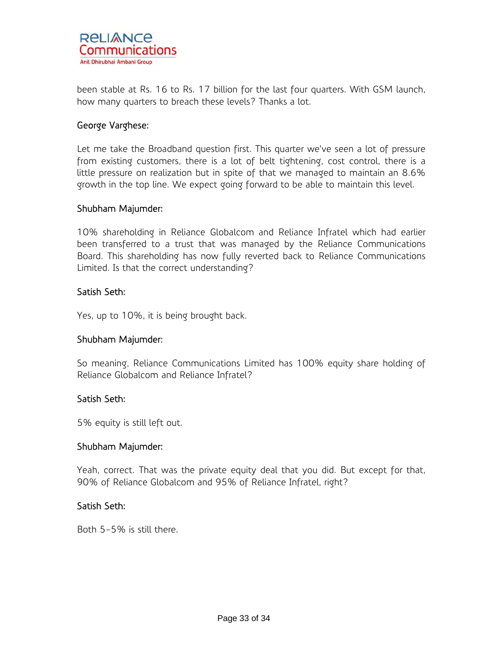

been stable at Rs. 16 to Rs. 17 billion for the last four quarters. With GSM launch, how many quarters to breach these levels? Thanks a lot.

## George Varghese:

Let me take the Broadband question first. This quarter we've seen a lot of pressure from existing customers, there is a lot of belt tightening, cost control, there is a little pressure on realization but in spite of that we managed to maintain an 8.6% growth in the top line. We expect going forward to be able to maintain this level.

## Shubham Majumder:

10% shareholding in Reliance Globalcom and Reliance Infratel which had earlier been transferred to a trust that was managed by the Reliance Communications Board. This shareholding has now fully reverted back to Reliance Communications Limited. Is that the correct understanding?

## Satish Seth:

Yes, up to 10%, it is being brought back.

## Shubham Majumder:

So meaning, Reliance Communications Limited has 100% equity share holding of Reliance Globalcom and Reliance Infratel?

## Satish Seth:

5% equity is still left out.

## Shubham Majumder:

Yeah, correct. That was the private equity deal that you did. But except for that, 90% of Reliance Globalcom and 95% of Reliance Infratel, right?

## Satish Seth:

Both 5-5% is still there.